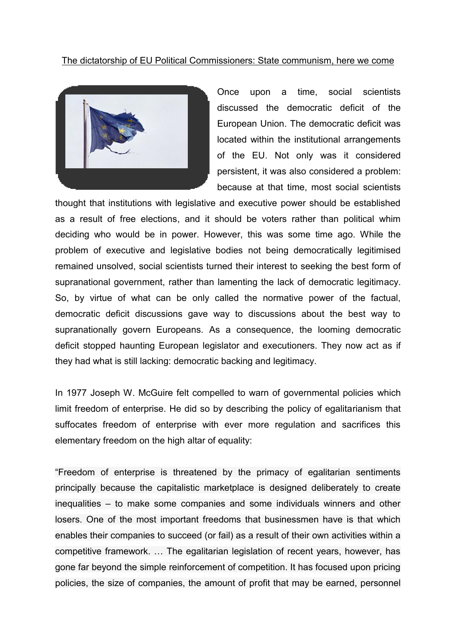## The dictatorship of EU Political Commissioners: State communism, here we come



Once upon a time, social scientists discussed the democratic deficit of the European Union. The democratic deficit was located within the institutional arrangements of the EU. Not only was it considered persistent, it was also considered a problem: because at that time, most social scientists

thought that institutions with legislative and executive power should be established as a result of free elections, and it should be voters rather than political whim deciding who would be in power. However, this was some time ago. While the problem of executive and legislative bodies not being democratically legitimised remained unsolved, social scientists turned their interest to seeking the best form of supranational government, rather than lamenting the lack of democratic legitimacy. So, by virtue of what can be only called the normative power of the factual, democratic deficit discussions gave way to discussions about the best way to supranationally govern Europeans. As a consequence, the looming democratic deficit stopped haunting European legislator and executioners. They now act as if they had what is still lacking: democratic backing and legitimacy.

In 1977 Joseph W. McGuire felt compelled to warn of governmental policies which limit freedom of enterprise. He did so by describing the policy of egalitarianism that suffocates freedom of enterprise with ever more regulation and sacrifices this elementary freedom on the high altar of equality:

"Freedom of enterprise is threatened by the primacy of egalitarian sentiments principally because the capitalistic marketplace is designed deliberately to create inequalities – to make some companies and some individuals winners and other losers. One of the most important freedoms that businessmen have is that which enables their companies to succeed (or fail) as a result of their own activities within a competitive framework. … The egalitarian legislation of recent years, however, has gone far beyond the simple reinforcement of competition. It has focused upon pricing policies, the size of companies, the amount of profit that may be earned, personnel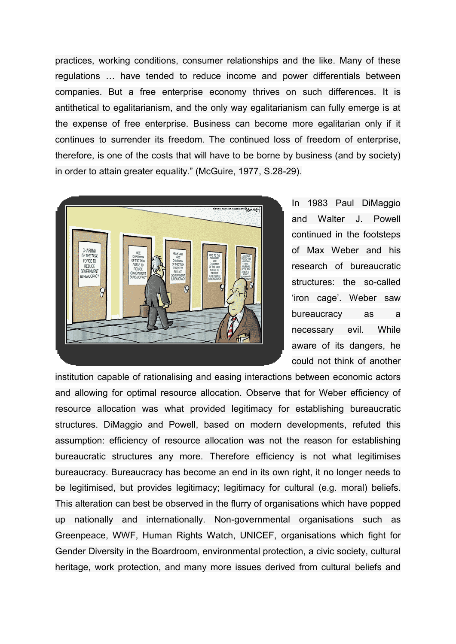practices, working conditions, consumer relationships and the like. Many of these regulations … have tended to reduce income and power differentials between companies. But a free enterprise economy thrives on such differences. It is antithetical to egalitarianism, and the only way egalitarianism can fully emerge is at the expense of free enterprise. Business can become more egalitarian only if it continues to surrender its freedom. The continued loss of freedom of enterprise, therefore, is one of the costs that will have to be borne by business (and by society) in order to attain greater equality." (McGuire, 1977, S.28-29).



In 1983 Paul DiMaggio and Walter J. Powell continued in the footsteps of Max Weber and his research of bureaucratic structures: the so-called 'iron cage'. Weber saw bureaucracy as a necessary evil. While aware of its dangers, he could not think of another

institution capable of rationalising and easing interactions between economic actors and allowing for optimal resource allocation. Observe that for Weber efficiency of resource allocation was what provided legitimacy for establishing bureaucratic structures. DiMaggio and Powell, based on modern developments, refuted this assumption: efficiency of resource allocation was not the reason for establishing bureaucratic structures any more. Therefore efficiency is not what legitimises bureaucracy. Bureaucracy has become an end in its own right, it no longer needs to be legitimised, but provides legitimacy; legitimacy for cultural (e.g. moral) beliefs. This alteration can best be observed in the flurry of organisations which have popped up nationally and internationally. Non-governmental organisations such as Greenpeace, WWF, Human Rights Watch, UNICEF, organisations which fight for Gender Diversity in the Boardroom, environmental protection, a civic society, cultural heritage, work protection, and many more issues derived from cultural beliefs and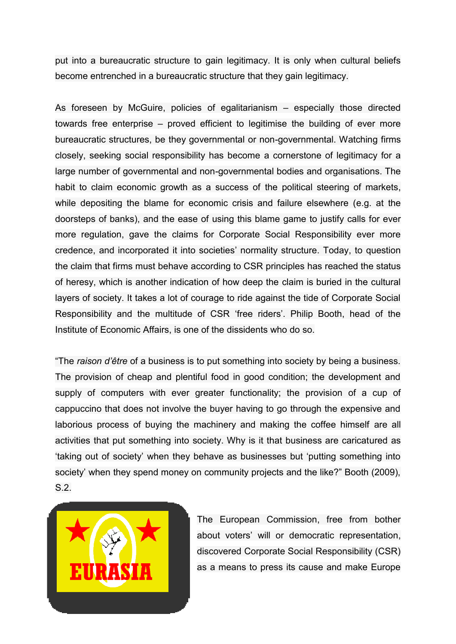put into a bureaucratic structure to gain legitimacy. It is only when cultural beliefs become entrenched in a bureaucratic structure that they gain legitimacy.

As foreseen by McGuire, policies of egalitarianism – especially those directed towards free enterprise – proved efficient to legitimise the building of ever more bureaucratic structures, be they governmental or non-governmental. Watching firms closely, seeking social responsibility has become a cornerstone of legitimacy for a large number of governmental and non-governmental bodies and organisations. The habit to claim economic growth as a success of the political steering of markets, while depositing the blame for economic crisis and failure elsewhere (e.g. at the doorsteps of banks), and the ease of using this blame game to justify calls for ever more regulation, gave the claims for Corporate Social Responsibility ever more credence, and incorporated it into societies' normality structure. Today, to question the claim that firms must behave according to CSR principles has reached the status of heresy, which is another indication of how deep the claim is buried in the cultural layers of society. It takes a lot of courage to ride against the tide of Corporate Social Responsibility and the multitude of CSR 'free riders'. Philip Booth, head of the Institute of Economic Affairs, is one of the dissidents who do so.

"The *raison d'être* of a business is to put something into society by being a business. The provision of cheap and plentiful food in good condition; the development and supply of computers with ever greater functionality; the provision of a cup of cappuccino that does not involve the buyer having to go through the expensive and laborious process of buying the machinery and making the coffee himself are all activities that put something into society. Why is it that business are caricatured as 'taking out of society' when they behave as businesses but 'putting something into society' when they spend money on community projects and the like?" Booth (2009), S.2.



The European Commission, free from bother about voters' will or democratic representation, discovered Corporate Social Responsibility (CSR) as a means to press its cause and make Europe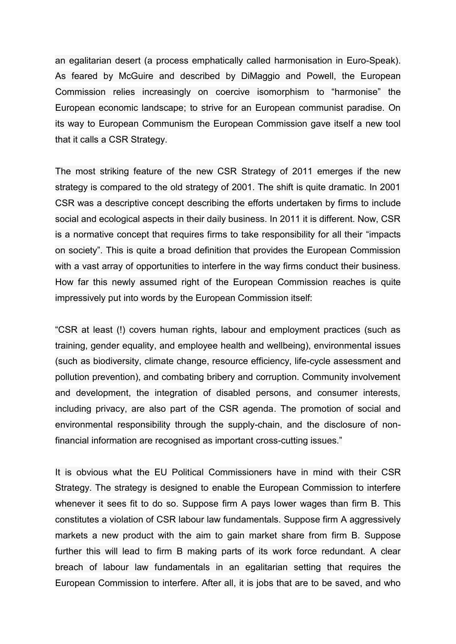an egalitarian desert (a process emphatically called harmonisation in Euro-Speak). As feared by McGuire and described by DiMaggio and Powell, the European Commission relies increasingly on coercive isomorphism to "harmonise" the European economic landscape; to strive for an European communist paradise. On its way to European Communism the European Commission gave itself a new tool that it calls a CSR Strategy.

The most striking feature of the new CSR Strategy of 2011 emerges if the new strategy is compared to the old strategy of 2001. The shift is quite dramatic. In 2001 CSR was a descriptive concept describing the efforts undertaken by firms to include social and ecological aspects in their daily business. In 2011 it is different. Now, CSR is a normative concept that requires firms to take responsibility for all their "impacts on society". This is quite a broad definition that provides the European Commission with a vast array of opportunities to interfere in the way firms conduct their business. How far this newly assumed right of the European Commission reaches is quite impressively put into words by the European Commission itself:

"CSR at least (!) covers human rights, labour and employment practices (such as training, gender equality, and employee health and wellbeing), environmental issues (such as biodiversity, climate change, resource efficiency, life-cycle assessment and pollution prevention), and combating bribery and corruption. Community involvement and development, the integration of disabled persons, and consumer interests, including privacy, are also part of the CSR agenda. The promotion of social and environmental responsibility through the supply-chain, and the disclosure of nonfinancial information are recognised as important cross-cutting issues."

It is obvious what the EU Political Commissioners have in mind with their CSR Strategy. The strategy is designed to enable the European Commission to interfere whenever it sees fit to do so. Suppose firm A pays lower wages than firm B. This constitutes a violation of CSR labour law fundamentals. Suppose firm A aggressively markets a new product with the aim to gain market share from firm B. Suppose further this will lead to firm B making parts of its work force redundant. A clear breach of labour law fundamentals in an egalitarian setting that requires the European Commission to interfere. After all, it is jobs that are to be saved, and who